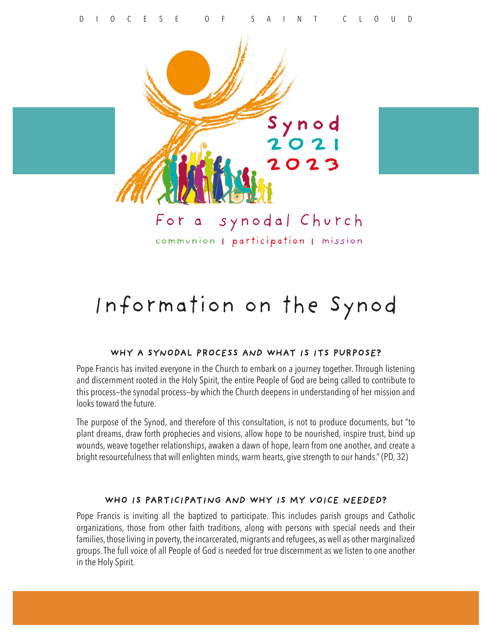

communion | participation | mission

# Information on the Synod

#### WHY A SYNODAL PROCESS AND WHAT IS ITS PURPOSE?

Pope Francis has invited everyone in the Church to embark on a journey together. Through listening and discernment rooted in the Holy Spirit, the entire People of God are being called to contribute to this process—the synodal process—by which the Church deepens in understanding of her mission and looks toward the future.

The purpose of the Synod, and therefore of this consultation, is not to produce documents, but "to plant dreams, draw forth prophecies and visions, allow hope to be nourished, inspire trust, bind up wounds, weave together relationships, awaken a dawn of hope, learn from one another, and create a bright resourcefulness that will enlighten minds, warm hearts, give strength to our hands." (PD, 32)

#### WHO IS PARTICIPATING AND WHY IS MY VOICE NEEDED?

Pope Francis is inviting all the baptized to participate. This includes parish groups and Catholic organizations, those from other faith traditions, along with persons with special needs and their families, those living in poverty, the incarcerated, migrants and refugees, as well as other marginalized groups. The full voice of all People of God is needed for true discernment as we listen to one another in the Holy Spirit.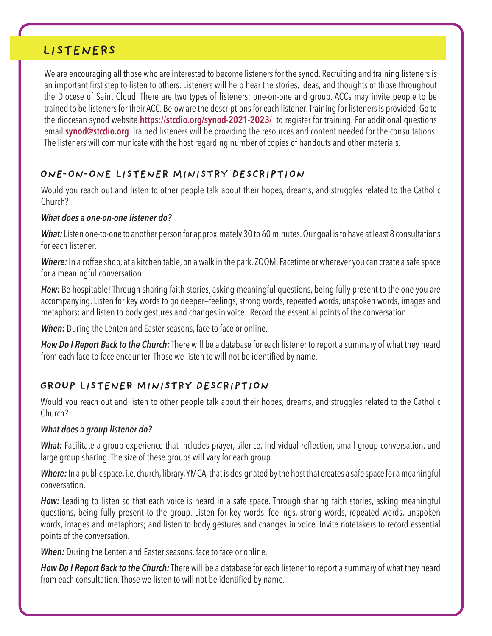# LISTENERS

We are encouraging all those who are interested to become listeners for the synod. Recruiting and training listeners is an important first step to listen to others. Listeners will help hear the stories, ideas, and thoughts of those throughout the Diocese of Saint Cloud. There are two types of listeners: one-on-one and group. ACCs may invite people to be trained to be listeners for their ACC. Below are the descriptions for each listener. Training for listeners is provided. Go to the diocesan synod website **https://stcdio.org/synod-2021-2023/** to register for training. For additional questions email **synod@stcdio.org**. Trained listeners will be providing the resources and content needed for the consultations. The listeners will communicate with the host regarding number of copies of handouts and other materials.

## ONE-ON-ONE LISTENER MINISTRY DESCRIPTION

Would you reach out and listen to other people talk about their hopes, dreams, and struggles related to the Catholic Church?

#### *What does a one-on-one listener do?*

*What:* Listen one-to-one to another person for approximately 30 to 60 minutes. Our goal is to have at least 8 consultations for each listener.

*Where:* In a coffee shop, at a kitchen table, on a walk in the park, ZOOM, Facetime or wherever you can create a safe space for a meaningful conversation.

*How:* Be hospitable! Through sharing faith stories, asking meaningful questions, being fully present to the one you are accompanying. Listen for key words to go deeper—feelings, strong words, repeated words, unspoken words, images and metaphors; and listen to body gestures and changes in voice. Record the essential points of the conversation.

**When:** During the Lenten and Easter seasons, face to face or online.

*How Do I Report Back to the Church:* There will be a database for each listener to report a summary of what they heard from each face-to-face encounter. Those we listen to will not be identified by name.

## GROUP LISTENER MINISTRY DESCRIPTION

Would you reach out and listen to other people talk about their hopes, dreams, and struggles related to the Catholic Church?

### *What does a group listener do?*

*What:* Facilitate a group experience that includes prayer, silence, individual reflection, small group conversation, and large group sharing. The size of these groups will vary for each group.

*Where:* In a public space, i.e. church, library, YMCA, that is designated by the host that creates a safe space for a meaningful conversation.

*How:* Leading to listen so that each voice is heard in a safe space. Through sharing faith stories, asking meaningful questions, being fully present to the group. Listen for key words—feelings, strong words, repeated words, unspoken words, images and metaphors; and listen to body gestures and changes in voice. Invite notetakers to record essential points of the conversation.

*When:* During the Lenten and Easter seasons, face to face or online.

*How Do I Report Back to the Church:* There will be a database for each listener to report a summary of what they heard from each consultation. Those we listen to will not be identified by name.